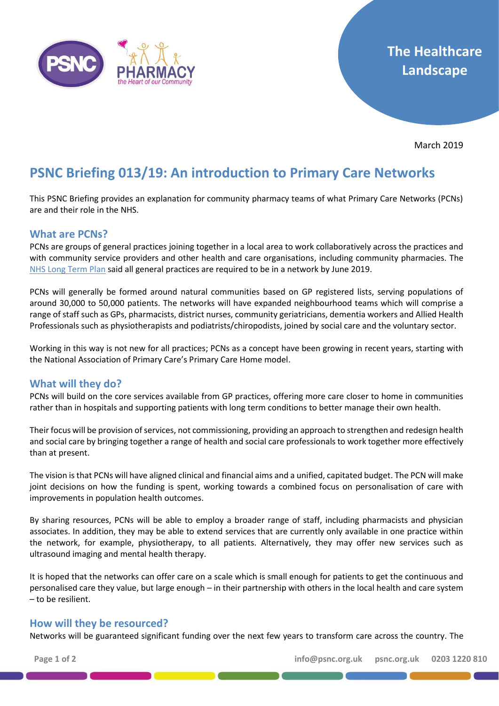

March 2019

# **PSNC Briefing 013/19: An introduction to Primary Care Networks**

This PSNC Briefing provides an explanation for community pharmacy teams of what Primary Care Networks (PCNs) are and their role in the NHS.

#### **What are PCNs?**

PCNs are groups of general practices joining together in a local area to work collaboratively across the practices and with community service providers and other health and care organisations, including community pharmacies. The [NHS Long Term Plan](https://psnc.org.uk/the-healthcare-landscape/the-nhs-long-term-plan/) said all general practices are required to be in a network by June 2019.

PCNs will generally be formed around natural communities based on GP registered lists, serving populations of around 30,000 to 50,000 patients. The networks will have expanded neighbourhood teams which will comprise a range of staff such as GPs, pharmacists, district nurses, community geriatricians, dementia workers and Allied Health Professionals such as physiotherapists and podiatrists/chiropodists, joined by social care and the voluntary sector.

Working in this way is not new for all practices; PCNs as a concept have been growing in recent years, starting with the National Association of Primary Care's Primary Care Home model.

### **What will they do?**

PCNs will build on the core services available from GP practices, offering more care closer to home in communities rather than in hospitals and supporting patients with long term conditions to better manage their own health.

Their focus will be provision of services, not commissioning, providing an approach to strengthen and redesign health and social care by bringing together a range of health and social care professionals to work together more effectively than at present.

The vision is that PCNs will have aligned clinical and financial aims and a unified, capitated budget. The PCN will make joint decisions on how the funding is spent, working towards a combined focus on personalisation of care with improvements in population health outcomes.

By sharing resources, PCNs will be able to employ a broader range of staff, including pharmacists and physician associates. In addition, they may be able to extend services that are currently only available in one practice within the network, for example, physiotherapy, to all patients. Alternatively, they may offer new services such as ultrasound imaging and mental health therapy.

It is hoped that the networks can offer care on a scale which is small enough for patients to get the continuous and personalised care they value, but large enough – in their partnership with others in the local health and care system – to be resilient.

## **How will they be resourced?**

Networks will be guaranteed significant funding over the next few years to transform care across the country. The